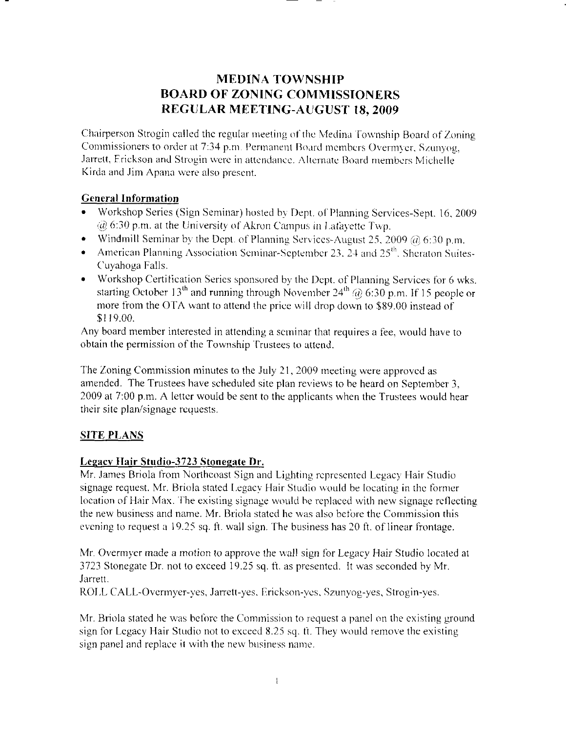## **MEDINA TOWNSHIP BOARD OF ZONING COMMISSIONERS REGULAR MEETING-AUGUST 18, 2009**

Chairperson Strogin called the regular meeting of the Medina Township Board of Zoning Commissioners to order at 7:34 p.m. Permanent Board members Overmyer, Szunyog, Jarrett, Erickson and Strogin were in attendance. Alternate Board members Michelle Kirda and Jim Apana were also present.

## **General Information**

- Workshop Series (Sign Seminar) hosted by Dept. of Planning Services-Sept. 16, 2009 @ 6:30 p.m. at the University of Akron Campus in Lafayette Twp.
- Windmill Seminar by the Dept. of Planning Services-August 25, 2009  $(a)$  6:30 p.m.
- American Planning Association Seminar-September 23, 24 and  $25<sup>th</sup>$ . Sheraton Suites- $\bullet$ Cuvahoga Falls.
- Workshop Certification Series sponsored by the Dept. of Planning Services for 6 wks. starting October 13<sup>th</sup> and running through November 24<sup>th</sup> @ 6:30 p.m. If 15 people or more from the OTA want to attend the price will drop down to \$89.00 instead of \$119.00.

Any board member interested in attending a seminar that requires a fee, would have to obtain the permission of the Township Trustees to attend.

The Zoning Commission minutes to the July 21, 2009 meeting were approved as amended. The Trustees have scheduled site plan reviews to be heard on September 3. 2009 at 7:00 p.m. A letter would be sent to the applicants when the Trustees would hear their site plan/signage requests.

## **SITE PLANS**

## Legacy Hair Studio-3723 Stonegate Dr.

Mr. James Briola from Northcoast Sign and Lighting represented Legacy Hair Studio signage request. Mr. Briola stated Legacy Hair Studio would be locating in the former location of Hair Max. The existing signage would be replaced with new signage reflecting the new business and name. Mr. Briola stated he was also before the Commission this evening to request a 19.25 sq. ft. wall sign. The business has 20 ft. of linear frontage.

Mr. Overmyer made a motion to approve the wall sign for Legacy Hair Studio located at 3723 Stonegate Dr. not to exceed 19.25 sq. ft. as presented. It was seconded by Mr. Jarrett.

ROLL CALL-Overmyer-yes, Jarrett-yes, Erickson-yes, Szunvog-yes, Strogin-yes.

Mr. Briola stated he was before the Commission to request a panel on the existing ground sign for Legacy Hair Studio not to exceed 8.25 sq. ft. They would remove the existing sign panel and replace it with the new business name.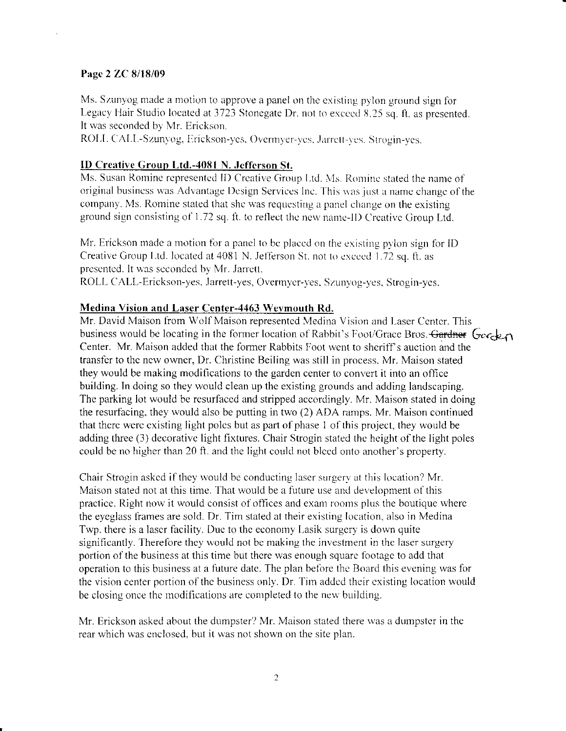#### Page 2 ZC 8/18/09

Ms. Szunyog made a motion to approve a panel on the existing pylon ground sign for Legacy Hair Studio located at 3723 Stonegate Dr. not to exceed 8.25 sq. ft. as presented. It was seconded by Mr. Erickson.

ROLL CALL-Szunyog, Erickson-yes, Overmyer-yes, Jarrett-yes. Strogin-yes.

### **ID Creative Group Ltd.-4081 N. Jefferson St.**

Ms. Susan Romine represented ID Creative Group Ltd. Ms. Romine stated the name of original business was Advantage Design Services Inc. This was just a name change of the company. Ms. Romine stated that she was requesting a panel change on the existing ground sign consisting of 1.72 sq. ft. to reflect the new name-ID Creative Group Ltd.

Mr. Erickson made a motion for a panel to be placed on the existing pylon sign for ID Creative Group Ltd. located at 4081 N. Jefferson St. not to exceed 1.72 sq. ft. as presented. It was seconded by Mr. Jarrett.

ROLL CALL-Erickson-yes, Jarrett-yes, Overmyer-yes, Szunyog-yes, Strogin-yes.

## **Medina Vision and Laser Center-4463 Weymouth Rd.**

Mr. David Maison from Wolf Maison represented Medina Vision and Laser Center. This business would be locating in the former location of Rabbit's Foot/Grace Bros. Gardner Gosck Center. Mr. Maison added that the former Rabbits Foot went to sheriff's auction and the transfer to the new owner, Dr. Christine Beiling was still in process. Mr. Maison stated they would be making modifications to the garden center to convert it into an office building. In doing so they would clean up the existing grounds and adding landscaping. The parking lot would be resurfaced and stripped accordingly. Mr. Maison stated in doing the resurfacing, they would also be putting in two (2) ADA ramps. Mr. Maison continued that there were existing light poles but as part of phase 1 of this project, they would be adding three (3) decorative light fixtures. Chair Strogin stated the height of the light poles could be no higher than 20 ft. and the light could not bleed onto another's property.

Chair Strogin asked if they would be conducting laser surgery at this location? Mr. Maison stated not at this time. That would be a future use and development of this practice. Right now it would consist of offices and exam rooms plus the boutique where the eveglass frames are sold. Dr. Tim stated at their existing location, also in Medina Twp, there is a laser facility. Due to the economy Lasik surgery is down quite significantly. Therefore they would not be making the investment in the laser surgery portion of the business at this time but there was enough square footage to add that operation to this business at a future date. The plan before the Board this evening was for the vision center portion of the business only. Dr. Tim added their existing location would be closing once the modifications are completed to the new building.

Mr. Erickson asked about the dumpster? Mr. Maison stated there was a dumpster in the rear which was enclosed, but it was not shown on the site plan.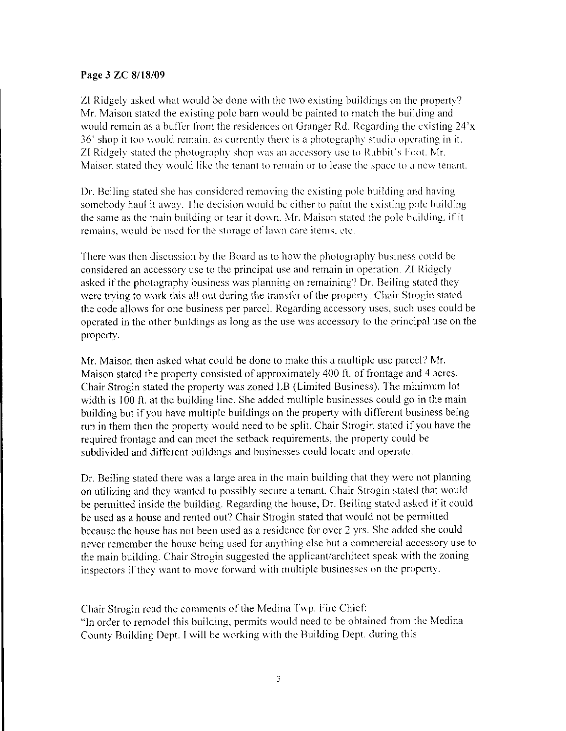### Page 3 ZC 8/18/09

ZI Ridgely asked what would be done with the two existing buildings on the property? Mr. Maison stated the existing pole barn would be painted to match the building and would remain as a buffer from the residences on Granger Rd. Regarding the existing  $24'x$  $36'$  shop it too would remain, as currently there is a photography studio operating in it, ZI Ridgely stated the photography shop was an accessory use to Rabbit's Foot. Mr. Maison stated they would like the tenant to remain or to lease the space to a new tenant.

I)r. Beiling stated she has considered removing the existing pole building and having somebody haul it away. The decision would be either to paint the existing pole building the same as the main building or tear it down. Mr. Maison stated the pole building, if it remains, would be used for the storage of lawn care items, etc.

There was then discussion by the Board as to how the photography business could be considered an accessory use to the principal use and remain in operation. ZI Ridgely asked if the photography business was planning on remaining? Dr. Beiling stated they were trying to work this all out during the transter of the property. Chair Strogin stated the code allows for one business per parcel. Regarding accessory uses, such uses could be opcrated in the other buildings as long as the use was accessory to thc principal usc on the property.

Mr. Maison then asked what could be done to make this a multiple use parcel? Mr. Maison stated the property consisted of approximately 400 ft. of frontage and 4 acres. Chair Strogin stated the property was zoned LB (Limited Business). The minimum lot width is 100 ft. at the building line. She added multiple businesses could go in the main building but if you have multiple buildings on the property with different business being run in them then the property would need to be split. Chair Strogin stated if you have the required frontage and can meet the setback requirements, the property could be subdivided and different buildings and businesses could locate and operate.

Dr. Beiling stated there was a large area in the main building that they were not planning on utilizing and they wanted to possibly secure a tenant. Chair Strogin stated that would be permitted inside the building. Regarding the house, Dr. Beiling stated asked if it could be used as a house and rented out? Chair Strogin stated that would not be permitted because the house has not been used as a residence for over 2 yrs. She added she could never remember the house being used for anything else but a commercial accessory use to the main building. Chair Strogin suggested the applicant/architect speak with the zoning inspectors if they want to move forward with multiple businesses on the property.

Chair Strogin read the comments of the Medina Twp. Fire Chief: "In order to remodel this building, permits would need to be obtained from the Medina County Building Dept. I will be working with the Building Dept. during this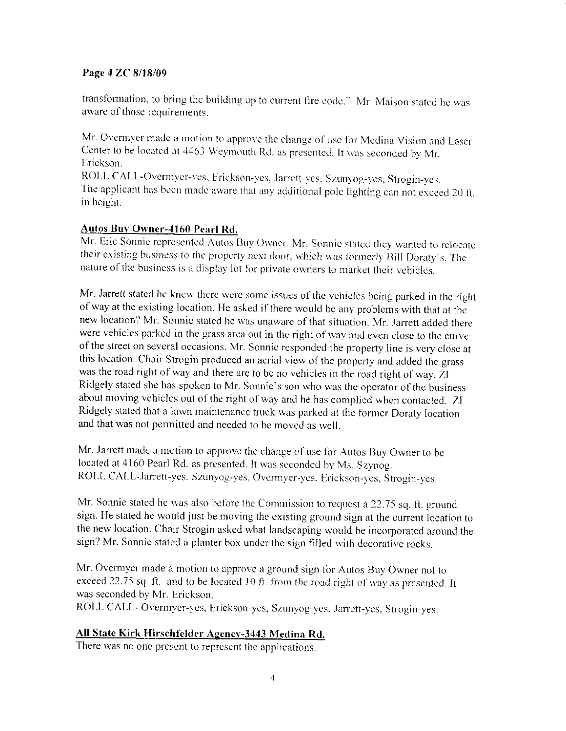## Page 4 ZC 8/18/09

transformation, to bring the building up to current fire code." Mr. Maison stated he was aware of those requirements.

Mr. Overmyer made a motion to approve the change of use for Medina Vision and Laser Center to be located at 4463 Weymouth Rd. as presented. It was seconded by Mr. Erickson.

ROLL CALL-Overmyer-yes, Erickson-yes, Jarrett-yes, Szunyog-yes, Strogin-yes. The applicant has been made aware that any additional pole lighting can not exceed 20 ft. in height.

## Autos Buy Owner-4160 Pearl Rd.

Mr. Eric Sonnie represented Autos Buy Owner. Mr. Sonnie stated they wanted to relocate their existing business to the property next door, which was formerly Bill Doraty's. The nature of the business is a display lot for private owners to market their vehicles.

Mr. Jarrett stated he knew there were some issues of the vehicles being parked in the right of way at the existing location. He asked if there would be any problems with that at the new location? Mr. Sonnie stated he was unaware of that situation. Mr. Jarrett added there were vehicles parked in the grass area out in the right of way and even close to the curve of the street on several occasions. Mr. Sonnie responded the property line is very close at this location. Chair Strogin produced an aerial view of the property and added the grass was the road right of way and there are to be no vehicles in the road right of way. ZI Ridgely stated she has spoken to Mr. Sonnie's son who was the operator of the business about moving vehicles out of the right of way and he has complied when contacted. ZI Ridgely stated that a lawn maintenance truck was parked at the former Doraty location and that was not permitted and needed to be moved as well.

Mr. Jarrett made a motion to approve the change of use for Autos Buy Owner to be located at 4160 Pearl Rd. as presented. It was seconded by Ms. Szynog. ROLL CALL-Jarrett-yes. Szunyog-yes, Overmver-yes. Erickson-yes, Strogin-yes.

Mr. Sonnie stated he was also before the Commission to request a 22.75 sq. ft. ground sign. He stated he would just be moving the existing ground sign at the current location to the new location. Chair Strogin asked what landscaping would be incorporated around the sign? Mr. Sonnie stated a planter box under the sign filled with decorative rocks.

Mr. Overmyer made a motion to approve a ground sign for Autos Buy Owner not to exceed 22.75 sq. ft. and to be located 10 ft. from the road right of way as presented. It was seconded by Mr. Erickson.

ROLL CALL- Overmyer-yes, Erickson-yes, Szunyog-yes, Jarrett-yes, Strogin-yes.

## All State Kirk Hirschfelder Agency-3443 Medina Rd.

There was no one present to represent the applications.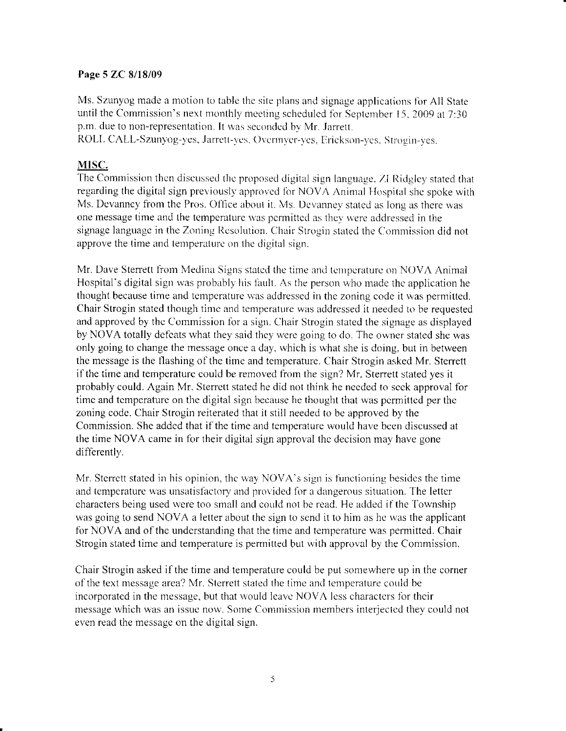### Page 5 ZC 8/18/09

Ms. Szunyog made a motion to table the site plans and signage applications for All State until the Commission's next monthly meeting scheduled for September 15, 2009 at  $7:30$ p.m. due to non-representation. It was seconded by Mr. Jarrett.

ROLL-CALL-Szunyog-yes, Jarrett-yes, Overmyer-yes, Erickson-yes. Strogin-yes.

## MISC.

The Commission then discussed the proposed digital sign language. ZI Ridgley stated that regarding the digital sign previously approved for NOVA Animal Hospital she spoke with Ms. Devanney from the Pros. Office about it. Ms. Devanney stated as long as there was one message time and the temperature was permitted as they were addressed in the signage language in the Zoning Resolution. Chair Strogin stated the Commission did not approve the time and temperature on the digital sign.

Mr. Dave Sterrett from Medina Signs stated the time and temperature on NOVA Animal Hospital's digital sign was probably his fault. As the person who made the application he thought because time and temperature was addressed in the zoning code it was permitted. Chair Strogin stated though time and temperature was addressed it needed to be requested and approved by the Commission for a sign. Chair Strogin stated the signage as displayed by NOVA totally defeats what they said they were going to do. The owner stated she was only going to change the message once a day, which is what she is doing, but in between the message is the flashing of the time and temperature. Chair Strogin asked Mr. Sterrett if the time and temperature could be removed from the sign? Mr. Sterrett stated yes it probably could. Again Mr. Sterrett stated he did not think he needcd to scck approval for timc and tcmperature on the digital sign because he thought that was pcrmittcd per the zoning code. Chair Strogin reiterated that it still needed to be approved by the Commission. She added that if the time and temperature would have been discussed at the time NOVA came in for their digital sign approval the decision may have gone differently.

Mr. Sterrett stated in his opinion, the way NOVA's sign is functioning besides the time and temperature was unsatisfactory and provided for a dangerous situation. The letter characters being used were too small and could not be read. He added if the Township was going to send NOVA a letter about the sign to send it to him as he was the applicant for NOVA and of the understanding that the time and temperature was permitted. Chair Strogin stated time and temperature is permitted but with approval by the Commission.

Chair Strogin asked if the time and temperature could be put somewhere up in the corner of the text message area? Mr. Sterrett stated the time and temperature could be incorporated in the message, but that would leave NOVA less characters for their message which was an issue now. Some Commission members interjected they could not even read the message on the digital sign.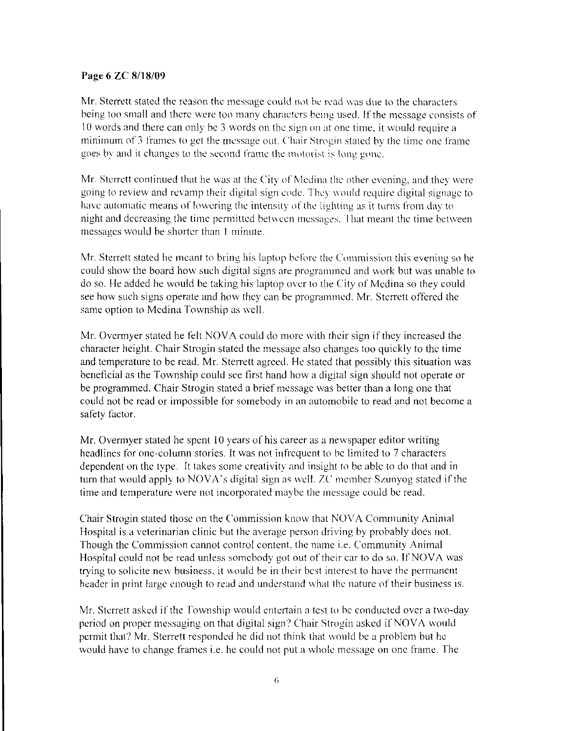#### Page 6 ZC 8/18/09

Mr. Sterrett stated the reason the message could not be read was due to the characters being too small and there were too many characters being used. If the message consists of 10 words and there can only be 3 words on the sign on at one time, it would require a minimum of 3 frames to get the message out. Chair Strogin stated by the time one frame goes by and it changes to the second frame the motorist is long gone.

Mr. Sterrett continued that he was at the City of Medina the other evening, and they were going to review and revamp their digital sign code. They would require digital signage to have automatic means of lowering the intensity of the lighting as it turns from day to night and decreasing the time permitted between messages. That meant the time between messages would be shorter than 1 minute.

Mr. Sterrett stated he meant to bring his laptop before the Commission this evening so he could show the board how such digital signs are programmed and work but was unable to do so. He added he would be taking his laptop over to the City of Medina so they could see how such signs operate and how they can be programmed. Mr. Sterrett offered the same option to Medina Township as well.

Mr. Overmyer stated he felt NOVA could do more with their sign if they increased the character height. Chair Strogin stated the message also changes too quickly to the time and temperature to be read. Mr. Sterrett agreed. He stated that possibly this situation was beneficial as the Township could see first hand how a digital sign should not operate or be programmed. Chair Strogin stated a brief message was better than a long one that could not be read or impossible for somebody in an automobile to read and not become a safety factor.

Mr. Overmyer stated he spent 10 years of his career as a newspaper editor writing headlines for one-column stories. It was not infrequent to be limited to 7 characters dependent on the type. It takes some creativity and insight to be able to do that and in turn that would apply to NOVA's digital sign as well. ZC member Szunyog stated if the time and temperature were not incorporated maybe the message could be read.

Chair Strogin stated those on the Commission know that NOVA Community Animal Hospital is a veterinarian clinic but the average person driving by probably does not. Though the Commission cannot control content, the name *i.e.* Community Animal Hospital could not be read unless somebody got out of their car to do so. If NOVA was trying to solicite new business, it would be in their best interest to have the permanent header in print large enough to read and understand what the nature of their business is.

Mr. Sterrett asked if the Township would entertain a test to be conducted over a two-day period on proper messaging on that digital sign? Chair Strogin asked if NOVA would permit that? Mr. Sterrett responded he did not think that would be a problem but he would have to change frames i.e. he could not put a whole message on one frame. The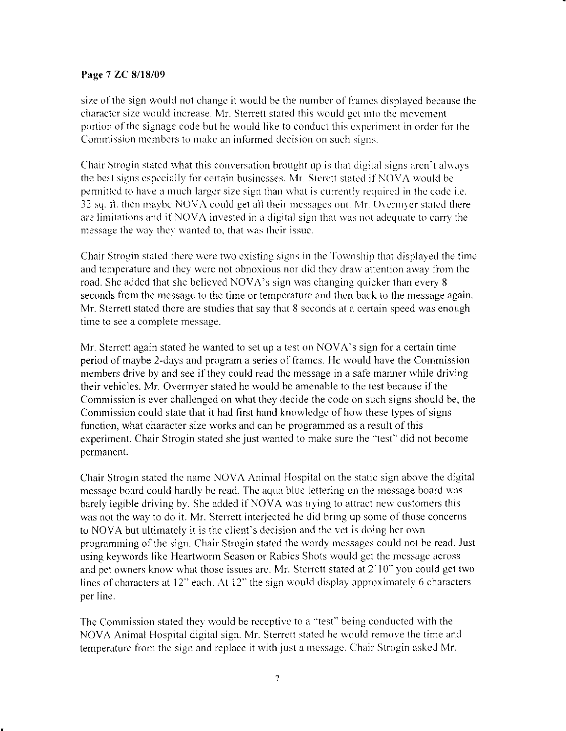### Page 7 ZC 8/18/09

size of the sign would not change it would be the number of frames displayed because the character size would increase. Mr. Sterrett stated this would get into the movement portion of the signage code but he would like to conduct this experiment in order for the Commission members to make an informed decision on such signs.

Chair Strogin stated what this conversation brought up is that digital signs aren't always the best signs especially for certain businesses. Mr. Sterett stated if NOVA would be permitted to have a much larger size sign than what is currently required in the code i.e. 32 sq. ft. then maybe NOVA could get all their messages out. Mr. Overmyer stated there are limitations and if NOVA invested in a digital sign that was not adequate to carry the message the way they wanted to, that was their issue.

Chair Strogin stated there were two existing signs in the Township that displayed the time and temperature and they were not obnoxious nor did they draw attention away from the road. She added that she believed NOVA's sign was changing quicker than every 8 seconds from the message to the time or temperature and then back to the message again. Mr. Sterrett stated there are studies that say that 8 seconds at a certain speed was enough time to see a complete message.

Mr. Sterrett again stated he wanted to set up a test on NOVA's sign for a certain time period of maybe 2-days and program a series of frames. He would have the Commission members drive by and see if they could read the message in a safe manner while driving their vehicles. Mr. Overmyer stated he would be amenable to the test because if the Commission is ever challenged on what they decide the code on such signs should be, the Commission could state that it had first hand knowledge of how these types of signs function, what character size works and can be programmed as a result of this experiment. Chair Strogin stated she just wanted to make sure the "test" did not become permanent.

Chair Strogin stated the name NOVA Animal Hospital on the static sign above the digital message board could hardly be read. The aqua blue lettering on the message board was barely legible driving by. She added if NOVA was trying to attract new customers this was not the way to do it. Mr. Sterrett interjected he did bring up some of those concerns to NOVA but ultimately it is the elient's decision and the vet is doing her own programming of the sign. Chair Strogin stated the wordy messages could not be read. Just using keywords like Heartworm Season or Rabies Shots would get the message across and pet owners know what those issues are. Mr. Sterrett stated at 2'10" you could get two lines of characters at 12" each. At 12" the sign would display approximately 6 characters per line.

The Commission stated they would be receptive to a "test" being conducted with the NOVA Animal Hospital digital sign. Mr. Sterrett stated he would remove the time and temperature from the sign and replace it with just a message. Chair Strogin asked Mr.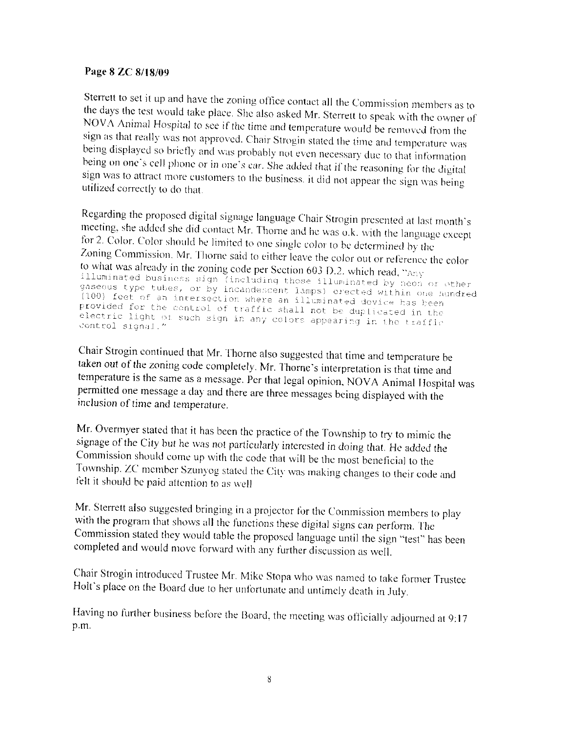## Page 8 ZC 8/18/09

Sterrett to set it up and have the zoning office contact all the Commission members as to the days the test would take place. She also asked Mr. Sterrett to speak with the owner of NOVA Animal Hospital to see if the time and temperature would be removed from the sign as that really was not approved. Chair Strogin stated the time and temperature was being displayed so briefly and was probably not even necessary due to that information being on one's cell phone or in one's car. She added that if the reasoning for the digital sign was to attract more customers to the business, it did not appear the sign was being utilized correctly to do that.

Regarding the proposed digital signage language Chair Strogin presented at last month's meeting, she added she did contact Mr. Thorne and he was o.k. with the language except for 2. Color. Color should be limited to one single color to be determined by the Zoning Commission. Mr. Thorne said to either leave the color out or reference the color to what was already in the zoning code per Section 603 D.2. which read, "Any illuminated business sign (including those illuminated by neon or other gaseous type tubes, or by incandescent lamps) erected within one hundred (100) feet of an intersection where an illuminated device has been provided for the control of traffic shall not be duplicated in the electric light of such sign in any colors appearing in the traffic control signal."

Chair Strogin continued that Mr. Thorne also suggested that time and temperature be taken out of the zoning code completely. Mr. Thorne's interpretation is that time and temperature is the same as a message. Per that legal opinion, NOVA Animal Hospital was permitted one message a day and there are three messages being displayed with the inclusion of time and temperature.

Mr. Overmyer stated that it has been the practice of the Township to try to mimic the signage of the City but he was not particularly interested in doing that. He added the Commission should come up with the code that will be the most beneficial to the Township. ZC member Szunyog stated the City was making changes to their code and felt it should be paid attention to as well

Mr. Sterrett also suggested bringing in a projector for the Commission members to play with the program that shows all the functions these digital signs can perform. The Commission stated they would table the proposed language until the sign "test" has been completed and would move forward with any further discussion as well.

Chair Strogin introduced Trustee Mr. Mike Stopa who was named to take former Trustee Holt's place on the Board due to her unfortunate and untimely death in July.

Having no further business before the Board, the meeting was officially adjourned at 9:17 p.m.